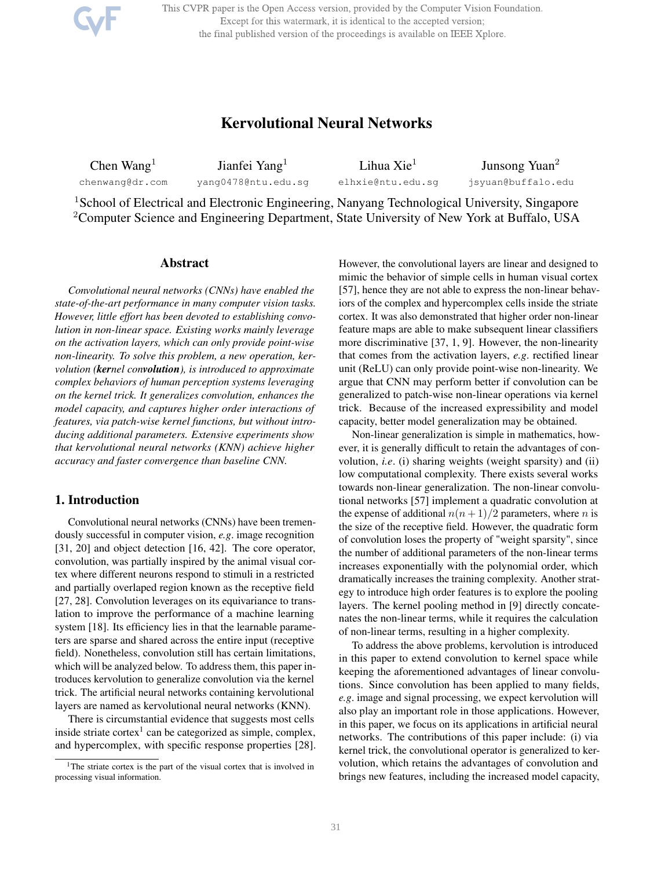This CVPR paper is the Open Access version, provided by the Computer Vision Foundation. Except for this watermark, it is identical to the accepted version; the final published version of the proceedings is available on IEEE Xplore.

# Kervolutional Neural Networks

Chen Wang $<sup>1</sup>$ </sup> chenwang@dr.com Jianfei Yang<sup>1</sup> yang0478@ntu.edu.sg Lihua Xie<sup>1</sup> elhxie@ntu.edu.sg Junsong Yuan<sup>2</sup> jsyuan@buffalo.edu

<sup>1</sup>School of Electrical and Electronic Engineering, Nanyang Technological University, Singapore <sup>2</sup>Computer Science and Engineering Department, State University of New York at Buffalo, USA

### Abstract

*Convolutional neural networks (CNNs) have enabled the state-of-the-art performance in many computer vision tasks. However, little effort has been devoted to establishing convolution in non-linear space. Existing works mainly leverage on the activation layers, which can only provide point-wise non-linearity. To solve this problem, a new operation, kervolution (kernel convolution), is introduced to approximate complex behaviors of human perception systems leveraging on the kernel trick. It generalizes convolution, enhances the model capacity, and captures higher order interactions of features, via patch-wise kernel functions, but without introducing additional parameters. Extensive experiments show that kervolutional neural networks (KNN) achieve higher accuracy and faster convergence than baseline CNN.*

# 1. Introduction

Convolutional neural networks (CNNs) have been tremendously successful in computer vision, *e.g*. image recognition [31, 20] and object detection [16, 42]. The core operator, convolution, was partially inspired by the animal visual cortex where different neurons respond to stimuli in a restricted and partially overlaped region known as the receptive field [27, 28]. Convolution leverages on its equivariance to translation to improve the performance of a machine learning system [18]. Its efficiency lies in that the learnable parameters are sparse and shared across the entire input (receptive field). Nonetheless, convolution still has certain limitations, which will be analyzed below. To address them, this paper introduces kervolution to generalize convolution via the kernel trick. The artificial neural networks containing kervolutional layers are named as kervolutional neural networks (KNN).

There is circumstantial evidence that suggests most cells inside striate cortex<sup>1</sup> can be categorized as simple, complex, and hypercomplex, with specific response properties [28]. However, the convolutional layers are linear and designed to mimic the behavior of simple cells in human visual cortex [57], hence they are not able to express the non-linear behaviors of the complex and hypercomplex cells inside the striate cortex. It was also demonstrated that higher order non-linear feature maps are able to make subsequent linear classifiers more discriminative [37, 1, 9]. However, the non-linearity that comes from the activation layers, *e.g*. rectified linear unit (ReLU) can only provide point-wise non-linearity. We argue that CNN may perform better if convolution can be generalized to patch-wise non-linear operations via kernel trick. Because of the increased expressibility and model capacity, better model generalization may be obtained.

Non-linear generalization is simple in mathematics, however, it is generally difficult to retain the advantages of convolution, *i.e*. (i) sharing weights (weight sparsity) and (ii) low computational complexity. There exists several works towards non-linear generalization. The non-linear convolutional networks [57] implement a quadratic convolution at the expense of additional  $n(n+1)/2$  parameters, where *n* is the size of the receptive field. However, the quadratic form of convolution loses the property of "weight sparsity", since the number of additional parameters of the non-linear terms increases exponentially with the polynomial order, which dramatically increases the training complexity. Another strategy to introduce high order features is to explore the pooling layers. The kernel pooling method in [9] directly concatenates the non-linear terms, while it requires the calculation of non-linear terms, resulting in a higher complexity.

To address the above problems, kervolution is introduced in this paper to extend convolution to kernel space while keeping the aforementioned advantages of linear convolutions. Since convolution has been applied to many fields, *e.g*. image and signal processing, we expect kervolution will also play an important role in those applications. However, in this paper, we focus on its applications in artificial neural networks. The contributions of this paper include: (i) via kernel trick, the convolutional operator is generalized to kervolution, which retains the advantages of convolution and brings new features, including the increased model capacity,

<sup>&</sup>lt;sup>1</sup>The striate cortex is the part of the visual cortex that is involved in processing visual information.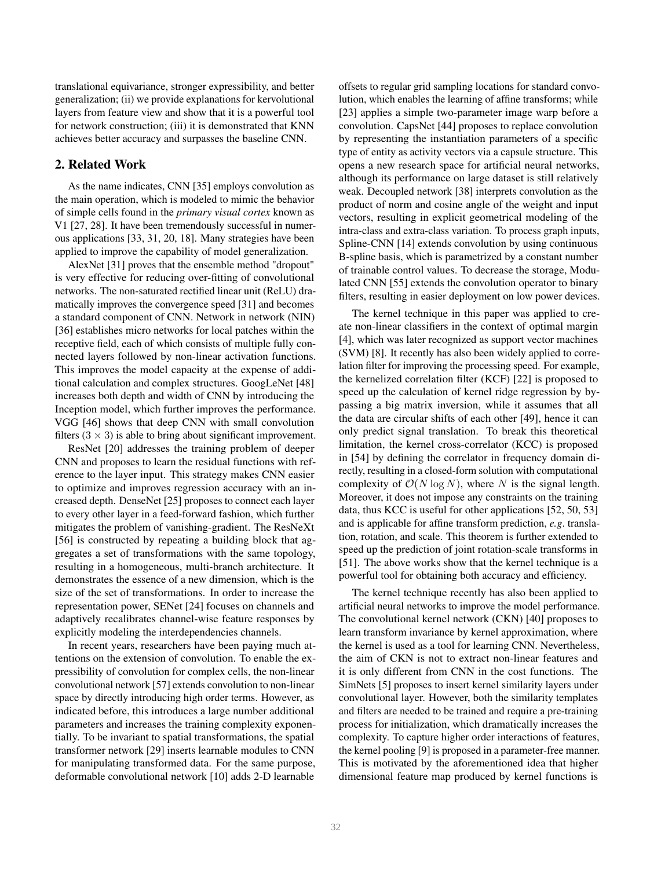translational equivariance, stronger expressibility, and better generalization; (ii) we provide explanations for kervolutional layers from feature view and show that it is a powerful tool for network construction; (iii) it is demonstrated that KNN achieves better accuracy and surpasses the baseline CNN.

# 2. Related Work

As the name indicates, CNN [35] employs convolution as the main operation, which is modeled to mimic the behavior of simple cells found in the *primary visual cortex* known as V1 [27, 28]. It have been tremendously successful in numerous applications [33, 31, 20, 18]. Many strategies have been applied to improve the capability of model generalization.

AlexNet [31] proves that the ensemble method "dropout" is very effective for reducing over-fitting of convolutional networks. The non-saturated rectified linear unit (ReLU) dramatically improves the convergence speed [31] and becomes a standard component of CNN. Network in network (NIN) [36] establishes micro networks for local patches within the receptive field, each of which consists of multiple fully connected layers followed by non-linear activation functions. This improves the model capacity at the expense of additional calculation and complex structures. GoogLeNet [48] increases both depth and width of CNN by introducing the Inception model, which further improves the performance. VGG [46] shows that deep CNN with small convolution filters  $(3 \times 3)$  is able to bring about significant improvement.

ResNet [20] addresses the training problem of deeper CNN and proposes to learn the residual functions with reference to the layer input. This strategy makes CNN easier to optimize and improves regression accuracy with an increased depth. DenseNet [25] proposes to connect each layer to every other layer in a feed-forward fashion, which further mitigates the problem of vanishing-gradient. The ResNeXt [56] is constructed by repeating a building block that aggregates a set of transformations with the same topology, resulting in a homogeneous, multi-branch architecture. It demonstrates the essence of a new dimension, which is the size of the set of transformations. In order to increase the representation power, SENet [24] focuses on channels and adaptively recalibrates channel-wise feature responses by explicitly modeling the interdependencies channels.

In recent years, researchers have been paying much attentions on the extension of convolution. To enable the expressibility of convolution for complex cells, the non-linear convolutional network [57] extends convolution to non-linear space by directly introducing high order terms. However, as indicated before, this introduces a large number additional parameters and increases the training complexity exponentially. To be invariant to spatial transformations, the spatial transformer network [29] inserts learnable modules to CNN for manipulating transformed data. For the same purpose, deformable convolutional network [10] adds 2-D learnable

offsets to regular grid sampling locations for standard convolution, which enables the learning of affine transforms; while [23] applies a simple two-parameter image warp before a convolution. CapsNet [44] proposes to replace convolution by representing the instantiation parameters of a specific type of entity as activity vectors via a capsule structure. This opens a new research space for artificial neural networks, although its performance on large dataset is still relatively weak. Decoupled network [38] interprets convolution as the product of norm and cosine angle of the weight and input vectors, resulting in explicit geometrical modeling of the intra-class and extra-class variation. To process graph inputs, Spline-CNN [14] extends convolution by using continuous B-spline basis, which is parametrized by a constant number of trainable control values. To decrease the storage, Modulated CNN [55] extends the convolution operator to binary filters, resulting in easier deployment on low power devices.

The kernel technique in this paper was applied to create non-linear classifiers in the context of optimal margin [4], which was later recognized as support vector machines (SVM) [8]. It recently has also been widely applied to correlation filter for improving the processing speed. For example, the kernelized correlation filter (KCF) [22] is proposed to speed up the calculation of kernel ridge regression by bypassing a big matrix inversion, while it assumes that all the data are circular shifts of each other [49], hence it can only predict signal translation. To break this theoretical limitation, the kernel cross-correlator (KCC) is proposed in [54] by defining the correlator in frequency domain directly, resulting in a closed-form solution with computational complexity of  $\mathcal{O}(N \log N)$ , where N is the signal length. Moreover, it does not impose any constraints on the training data, thus KCC is useful for other applications [52, 50, 53] and is applicable for affine transform prediction, *e.g*. translation, rotation, and scale. This theorem is further extended to speed up the prediction of joint rotation-scale transforms in [51]. The above works show that the kernel technique is a powerful tool for obtaining both accuracy and efficiency.

The kernel technique recently has also been applied to artificial neural networks to improve the model performance. The convolutional kernel network (CKN) [40] proposes to learn transform invariance by kernel approximation, where the kernel is used as a tool for learning CNN. Nevertheless, the aim of CKN is not to extract non-linear features and it is only different from CNN in the cost functions. The SimNets [5] proposes to insert kernel similarity layers under convolutional layer. However, both the similarity templates and filters are needed to be trained and require a pre-training process for initialization, which dramatically increases the complexity. To capture higher order interactions of features, the kernel pooling [9] is proposed in a parameter-free manner. This is motivated by the aforementioned idea that higher dimensional feature map produced by kernel functions is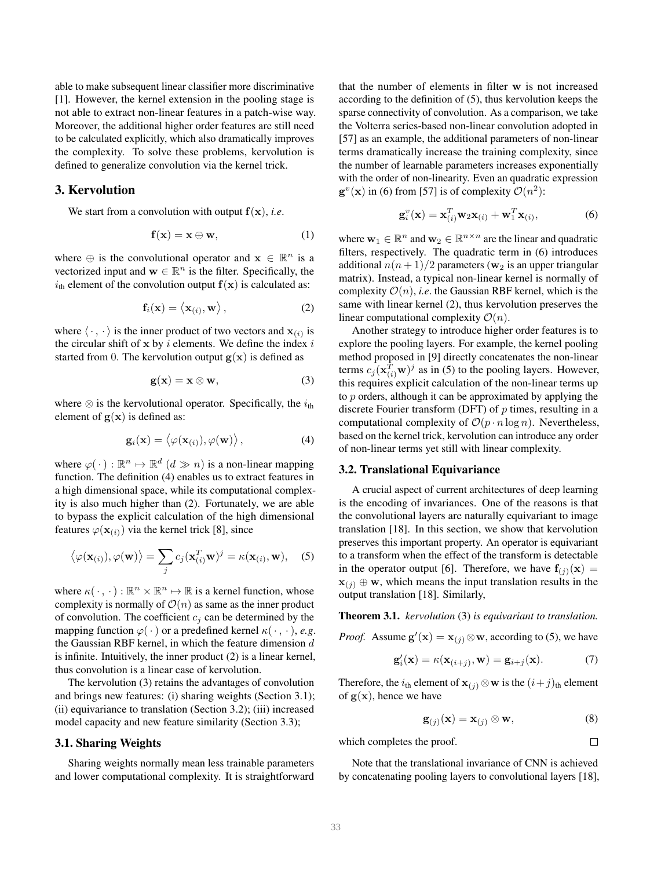able to make subsequent linear classifier more discriminative [1]. However, the kernel extension in the pooling stage is not able to extract non-linear features in a patch-wise way. Moreover, the additional higher order features are still need to be calculated explicitly, which also dramatically improves the complexity. To solve these problems, kervolution is defined to generalize convolution via the kernel trick.

### 3. Kervolution

We start from a convolution with output  $f(x)$ , *i.e.* 

$$
\mathbf{f}(\mathbf{x}) = \mathbf{x} \oplus \mathbf{w},\tag{1}
$$

where  $\oplus$  is the convolutional operator and  $\mathbf{x} \in \mathbb{R}^n$  is a vectorized input and  $\mathbf{w} \in \mathbb{R}^n$  is the filter. Specifically, the  $i_{\text{th}}$  element of the convolution output  $f(x)$  is calculated as:

$$
\mathbf{f}_i(\mathbf{x}) = \langle \mathbf{x}_{(i)}, \mathbf{w} \rangle, \tag{2}
$$

where  $\langle \cdot, \cdot \rangle$  is the inner product of two vectors and  $\mathbf{x}_{(i)}$  is the circular shift of  $x$  by i elements. We define the index i started from 0. The kervolution output  $g(x)$  is defined as

$$
\mathbf{g}(\mathbf{x}) = \mathbf{x} \otimes \mathbf{w},\tag{3}
$$

where  $\otimes$  is the kervolutional operator. Specifically, the  $i_{th}$ element of  $g(x)$  is defined as:

$$
\mathbf{g}_i(\mathbf{x}) = \langle \varphi(\mathbf{x}_{(i)}), \varphi(\mathbf{w}) \rangle, \qquad (4)
$$

where  $\varphi(\cdot) : \mathbb{R}^n \mapsto \mathbb{R}^d$   $(d \gg n)$  is a non-linear mapping function. The definition (4) enables us to extract features in a high dimensional space, while its computational complexity is also much higher than (2). Fortunately, we are able to bypass the explicit calculation of the high dimensional features  $\varphi(\mathbf{x}_{(i)})$  via the kernel trick [8], since

$$
\langle \varphi(\mathbf{x}_{(i)}), \varphi(\mathbf{w}) \rangle = \sum_{j} c_j (\mathbf{x}_{(i)}^T \mathbf{w})^j = \kappa(\mathbf{x}_{(i)}, \mathbf{w}),
$$
 (5)

where  $\kappa(\cdot, \cdot) : \mathbb{R}^n \times \mathbb{R}^n \mapsto \mathbb{R}$  is a kernel function, whose complexity is normally of  $\mathcal{O}(n)$  as same as the inner product of convolution. The coefficient  $c_i$  can be determined by the mapping function  $\varphi(\cdot)$  or a predefined kernel  $\kappa(\cdot, \cdot)$ , *e.g.* the Gaussian RBF kernel, in which the feature dimension  $d$ is infinite. Intuitively, the inner product (2) is a linear kernel, thus convolution is a linear case of kervolution.

The kervolution (3) retains the advantages of convolution and brings new features: (i) sharing weights (Section 3.1); (ii) equivariance to translation (Section 3.2); (iii) increased model capacity and new feature similarity (Section 3.3);

#### 3.1. Sharing Weights

Sharing weights normally mean less trainable parameters and lower computational complexity. It is straightforward

that the number of elements in filter w is not increased according to the definition of (5), thus kervolution keeps the sparse connectivity of convolution. As a comparison, we take the Volterra series-based non-linear convolution adopted in [57] as an example, the additional parameters of non-linear terms dramatically increase the training complexity, since the number of learnable parameters increases exponentially with the order of non-linearity. Even an quadratic expression  $\mathbf{g}^v(\mathbf{x})$  in (6) from [57] is of complexity  $\mathcal{O}(n^2)$ :

$$
\mathbf{g}_i^v(\mathbf{x}) = \mathbf{x}_{(i)}^T \mathbf{w}_2 \mathbf{x}_{(i)} + \mathbf{w}_1^T \mathbf{x}_{(i)},
$$
(6)

where  $w_1 \in \mathbb{R}^n$  and  $w_2 \in \mathbb{R}^{n \times n}$  are the linear and quadratic filters, respectively. The quadratic term in (6) introduces additional  $n(n+1)/2$  parameters ( $w_2$  is an upper triangular matrix). Instead, a typical non-linear kernel is normally of complexity  $\mathcal{O}(n)$ , *i.e.* the Gaussian RBF kernel, which is the same with linear kernel (2), thus kervolution preserves the linear computational complexity  $\mathcal{O}(n)$ .

Another strategy to introduce higher order features is to explore the pooling layers. For example, the kernel pooling method proposed in [9] directly concatenates the non-linear terms  $c_j(\mathbf{x}_{(i)}^T \mathbf{w})^j$  as in (5) to the pooling layers. However, this requires explicit calculation of the non-linear terms up to p orders, although it can be approximated by applying the discrete Fourier transform (DFT) of  $p$  times, resulting in a computational complexity of  $\mathcal{O}(p \cdot n \log n)$ . Nevertheless, based on the kernel trick, kervolution can introduce any order of non-linear terms yet still with linear complexity.

# 3.2. Translational Equivariance

A crucial aspect of current architectures of deep learning is the encoding of invariances. One of the reasons is that the convolutional layers are naturally equivariant to image translation [18]. In this section, we show that kervolution preserves this important property. An operator is equivariant to a transform when the effect of the transform is detectable in the operator output [6]. Therefore, we have  $f_{(i)}(x) =$  $\mathbf{x}_{(j)} \oplus \mathbf{w}$ , which means the input translation results in the output translation [18]. Similarly,

Theorem 3.1. *kervolution* (3) *is equivariant to translation.*

*Proof.* Assume  $\mathbf{g}'(\mathbf{x}) = \mathbf{x}_{(j)} \otimes \mathbf{w}$ , according to (5), we have

$$
\mathbf{g}'_i(\mathbf{x}) = \kappa(\mathbf{x}_{(i+j)}, \mathbf{w}) = \mathbf{g}_{i+j}(\mathbf{x}).
$$
 (7)

Therefore, the  $i_{\text{th}}$  element of  $\mathbf{x}_{(i)} \otimes \mathbf{w}$  is the  $(i+j)_{\text{th}}$  element of  $g(x)$ , hence we have

$$
\mathbf{g}_{(j)}(\mathbf{x}) = \mathbf{x}_{(j)} \otimes \mathbf{w},\tag{8}
$$

 $\Box$ 

which completes the proof.

Note that the translational invariance of CNN is achieved by concatenating pooling layers to convolutional layers [18],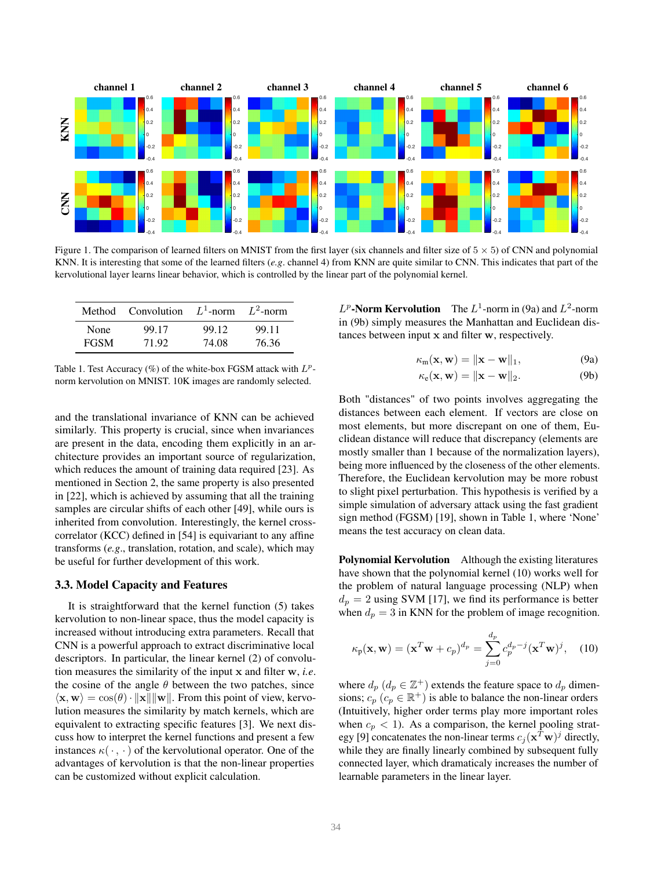

Figure 1. The comparison of learned filters on MNIST from the first layer (six channels and filter size of  $5 \times 5$ ) of CNN and polynomial KNN. It is interesting that some of the learned filters (*e.g*. channel 4) from KNN are quite similar to CNN. This indicates that part of the kervolutional layer learns linear behavior, which is controlled by the linear part of the polynomial kernel.

|             | Method Convolution $L^1$ -norm $L^2$ -norm |       |       |
|-------------|--------------------------------------------|-------|-------|
| None        | 99.17                                      | 99.12 | 99.11 |
| <b>FGSM</b> | 71.92                                      | 74.08 | 76.36 |

Table 1. Test Accuracy (%) of the white-box FGSM attack with  $L^p$ norm kervolution on MNIST. 10K images are randomly selected.

and the translational invariance of KNN can be achieved similarly. This property is crucial, since when invariances are present in the data, encoding them explicitly in an architecture provides an important source of regularization, which reduces the amount of training data required [23]. As mentioned in Section 2, the same property is also presented in [22], which is achieved by assuming that all the training samples are circular shifts of each other [49], while ours is inherited from convolution. Interestingly, the kernel crosscorrelator (KCC) defined in [54] is equivariant to any affine transforms (*e.g*., translation, rotation, and scale), which may be useful for further development of this work.

## 3.3. Model Capacity and Features

It is straightforward that the kernel function (5) takes kervolution to non-linear space, thus the model capacity is increased without introducing extra parameters. Recall that CNN is a powerful approach to extract discriminative local descriptors. In particular, the linear kernel (2) of convolution measures the similarity of the input x and filter w, *i.e*. the cosine of the angle  $\theta$  between the two patches, since  $\langle x, w \rangle = \cos(\theta) \cdot ||x|| ||w||$ . From this point of view, kervolution measures the similarity by match kernels, which are equivalent to extracting specific features [3]. We next discuss how to interpret the kernel functions and present a few instances  $\kappa(\cdot, \cdot)$  of the kervolutional operator. One of the advantages of kervolution is that the non-linear properties can be customized without explicit calculation.

 $L^p$ -Norm Kervolution The  $L^1$ -norm in (9a) and  $L^2$ -norm in (9b) simply measures the Manhattan and Euclidean distances between input x and filter w, respectively.

$$
\kappa_{m}(\mathbf{x}, \mathbf{w}) = \|\mathbf{x} - \mathbf{w}\|_{1}, \tag{9a}
$$

$$
\kappa_{\mathbf{e}}(\mathbf{x}, \mathbf{w}) = \|\mathbf{x} - \mathbf{w}\|_2.
$$
 (9b)

Both "distances" of two points involves aggregating the distances between each element. If vectors are close on most elements, but more discrepant on one of them, Euclidean distance will reduce that discrepancy (elements are mostly smaller than 1 because of the normalization layers), being more influenced by the closeness of the other elements. Therefore, the Euclidean kervolution may be more robust to slight pixel perturbation. This hypothesis is verified by a simple simulation of adversary attack using the fast gradient sign method (FGSM) [19], shown in Table 1, where 'None' means the test accuracy on clean data.

Polynomial Kervolution Although the existing literatures have shown that the polynomial kernel (10) works well for the problem of natural language processing (NLP) when  $d_p = 2$  using SVM [17], we find its performance is better when  $d_p = 3$  in KNN for the problem of image recognition.

$$
\kappa_{\mathbf{p}}(\mathbf{x}, \mathbf{w}) = (\mathbf{x}^T \mathbf{w} + c_p)^{d_p} = \sum_{j=0}^{d_p} c_p^{d_p - j} (\mathbf{x}^T \mathbf{w})^j, \quad (10)
$$

where  $d_p$   $(d_p \in \mathbb{Z}^+)$  extends the feature space to  $d_p$  dimensions;  $c_p$   $(c_p \in \mathbb{R}^+)$  is able to balance the non-linear orders (Intuitively, higher order terms play more important roles when  $c_p < 1$ ). As a comparison, the kernel pooling strategy [9] concatenates the non-linear terms  $c_j(\mathbf{x}^T \mathbf{w})^j$  directly, while they are finally linearly combined by subsequent fully connected layer, which dramaticaly increases the number of learnable parameters in the linear layer.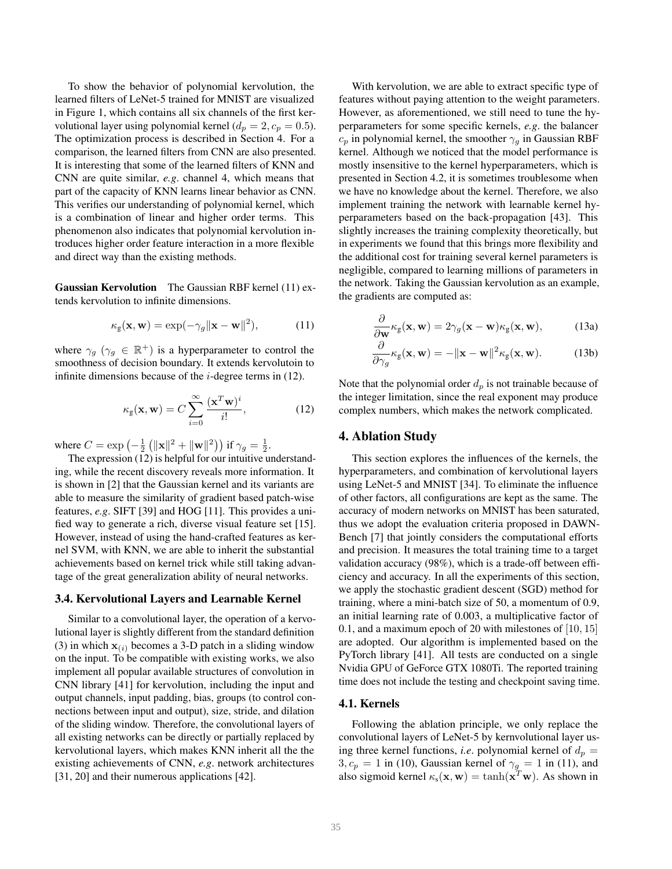To show the behavior of polynomial kervolution, the learned filters of LeNet-5 trained for MNIST are visualized in Figure 1, which contains all six channels of the first kervolutional layer using polynomial kernel ( $d_p = 2, c_p = 0.5$ ). The optimization process is described in Section 4. For a comparison, the learned filters from CNN are also presented. It is interesting that some of the learned filters of KNN and CNN are quite similar, *e.g*. channel 4, which means that part of the capacity of KNN learns linear behavior as CNN. This verifies our understanding of polynomial kernel, which is a combination of linear and higher order terms. This phenomenon also indicates that polynomial kervolution introduces higher order feature interaction in a more flexible and direct way than the existing methods.

Gaussian Kervolution The Gaussian RBF kernel (11) extends kervolution to infinite dimensions.

$$
\kappa_{g}(\mathbf{x}, \mathbf{w}) = \exp(-\gamma_g \|\mathbf{x} - \mathbf{w}\|^2), \tag{11}
$$

where  $\gamma_g$  ( $\gamma_g \in \mathbb{R}^+$ ) is a hyperparameter to control the smoothness of decision boundary. It extends kervolutoin to infinite dimensions because of the  $i$ -degree terms in (12).

$$
\kappa_{\mathbf{g}}(\mathbf{x}, \mathbf{w}) = C \sum_{i=0}^{\infty} \frac{(\mathbf{x}^T \mathbf{w})^i}{i!},
$$
 (12)

where  $C = \exp(-\frac{1}{2} (||\mathbf{x}||^2 + ||\mathbf{w}||^2))$  if  $\gamma_g = \frac{1}{2}$ .

The expression (12) is helpful for our intuitive understanding, while the recent discovery reveals more information. It is shown in [2] that the Gaussian kernel and its variants are able to measure the similarity of gradient based patch-wise features, *e.g*. SIFT [39] and HOG [11]. This provides a unified way to generate a rich, diverse visual feature set [15]. However, instead of using the hand-crafted features as kernel SVM, with KNN, we are able to inherit the substantial achievements based on kernel trick while still taking advantage of the great generalization ability of neural networks.

#### 3.4. Kervolutional Layers and Learnable Kernel

Similar to a convolutional layer, the operation of a kervolutional layer is slightly different from the standard definition (3) in which  $x_{(i)}$  becomes a 3-D patch in a sliding window on the input. To be compatible with existing works, we also implement all popular available structures of convolution in CNN library [41] for kervolution, including the input and output channels, input padding, bias, groups (to control connections between input and output), size, stride, and dilation of the sliding window. Therefore, the convolutional layers of all existing networks can be directly or partially replaced by kervolutional layers, which makes KNN inherit all the the existing achievements of CNN, *e.g*. network architectures [31, 20] and their numerous applications [42].

With kervolution, we are able to extract specific type of features without paying attention to the weight parameters. However, as aforementioned, we still need to tune the hyperparameters for some specific kernels, *e.g*. the balancer  $c_p$  in polynomial kernel, the smoother  $\gamma_g$  in Gaussian RBF kernel. Although we noticed that the model performance is mostly insensitive to the kernel hyperparameters, which is presented in Section 4.2, it is sometimes troublesome when we have no knowledge about the kernel. Therefore, we also implement training the network with learnable kernel hyperparameters based on the back-propagation [43]. This slightly increases the training complexity theoretically, but in experiments we found that this brings more flexibility and the additional cost for training several kernel parameters is negligible, compared to learning millions of parameters in the network. Taking the Gaussian kervolution as an example, the gradients are computed as:

$$
\frac{\partial}{\partial \mathbf{w}} \kappa_{\mathbf{g}}(\mathbf{x}, \mathbf{w}) = 2\gamma_g(\mathbf{x} - \mathbf{w})\kappa_{\mathbf{g}}(\mathbf{x}, \mathbf{w}), \tag{13a}
$$

$$
\frac{\partial}{\partial \gamma_g} \kappa_g(\mathbf{x}, \mathbf{w}) = -\|\mathbf{x} - \mathbf{w}\|^2 \kappa_g(\mathbf{x}, \mathbf{w}).
$$
 (13b)

Note that the polynomial order  $d_p$  is not trainable because of the integer limitation, since the real exponent may produce complex numbers, which makes the network complicated.

### 4. Ablation Study

This section explores the influences of the kernels, the hyperparameters, and combination of kervolutional layers using LeNet-5 and MNIST [34]. To eliminate the influence of other factors, all configurations are kept as the same. The accuracy of modern networks on MNIST has been saturated, thus we adopt the evaluation criteria proposed in DAWN-Bench [7] that jointly considers the computational efforts and precision. It measures the total training time to a target validation accuracy (98%), which is a trade-off between efficiency and accuracy. In all the experiments of this section, we apply the stochastic gradient descent (SGD) method for training, where a mini-batch size of 50, a momentum of 0.9, an initial learning rate of 0.003, a multiplicative factor of 0.1, and a maximum epoch of 20 with milestones of [10, 15] are adopted. Our algorithm is implemented based on the PyTorch library [41]. All tests are conducted on a single Nvidia GPU of GeForce GTX 1080Ti. The reported training time does not include the testing and checkpoint saving time.

## 4.1. Kernels

Following the ablation principle, we only replace the convolutional layers of LeNet-5 by kernvolutional layer using three kernel functions, *i.e.* polynomial kernel of  $d_p =$  $3, c_p = 1$  in (10), Gaussian kernel of  $\gamma_g = 1$  in (11), and also sigmoid kernel  $\kappa_{\rm s}({\bf x},{\bf w}) = \tanh({\bf x}^T{\bf w})$ . As shown in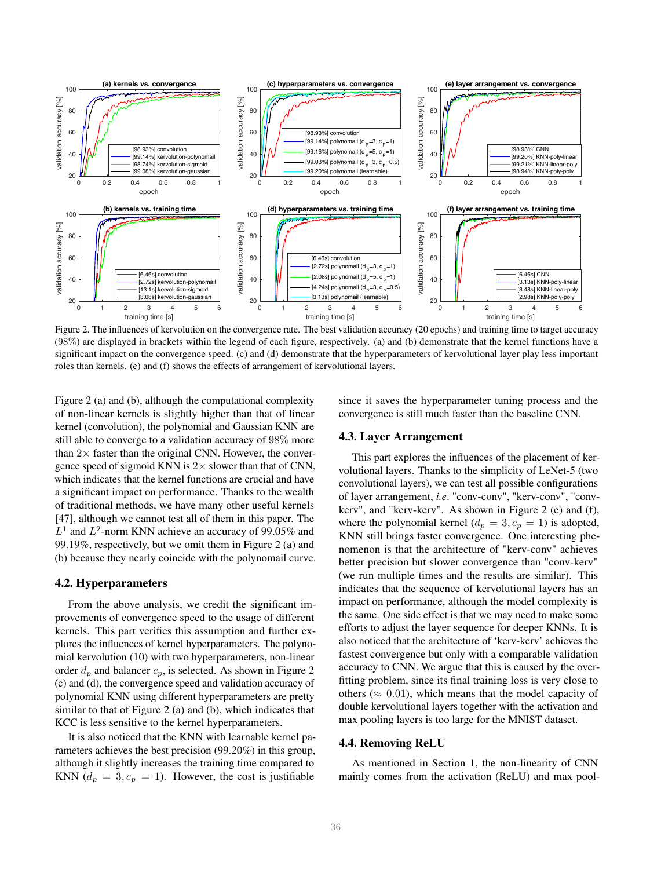

Figure 2. The influences of kervolution on the convergence rate. The best validation accuracy (20 epochs) and training time to target accuracy (98%) are displayed in brackets within the legend of each figure, respectively. (a) and (b) demonstrate that the kernel functions have a significant impact on the convergence speed. (c) and (d) demonstrate that the hyperparameters of kervolutional layer play less important roles than kernels. (e) and (f) shows the effects of arrangement of kervolutional layers.

Figure 2 (a) and (b), although the computational complexity of non-linear kernels is slightly higher than that of linear kernel (convolution), the polynomial and Gaussian KNN are still able to converge to a validation accuracy of 98% more than  $2\times$  faster than the original CNN. However, the convergence speed of sigmoid KNN is  $2 \times$  slower than that of CNN, which indicates that the kernel functions are crucial and have a significant impact on performance. Thanks to the wealth of traditional methods, we have many other useful kernels [47], although we cannot test all of them in this paper. The  $L^1$  and  $L^2$ -norm KNN achieve an accuracy of 99.05% and 99.19%, respectively, but we omit them in Figure 2 (a) and (b) because they nearly coincide with the polynomail curve.

#### 4.2. Hyperparameters

From the above analysis, we credit the significant improvements of convergence speed to the usage of different kernels. This part verifies this assumption and further explores the influences of kernel hyperparameters. The polynomial kervolution (10) with two hyperparameters, non-linear order  $d_p$  and balancer  $c_p$ , is selected. As shown in Figure 2 (c) and (d), the convergence speed and validation accuracy of polynomial KNN using different hyperparameters are pretty similar to that of Figure 2 (a) and (b), which indicates that KCC is less sensitive to the kernel hyperparameters.

It is also noticed that the KNN with learnable kernel parameters achieves the best precision (99.20%) in this group, although it slightly increases the training time compared to KNN ( $d_p = 3, c_p = 1$ ). However, the cost is justifiable

since it saves the hyperparameter tuning process and the convergence is still much faster than the baseline CNN.

### 4.3. Layer Arrangement

This part explores the influences of the placement of kervolutional layers. Thanks to the simplicity of LeNet-5 (two convolutional layers), we can test all possible configurations of layer arrangement, *i.e*. "conv-conv", "kerv-conv", "convkerv", and "kerv-kerv". As shown in Figure 2 (e) and (f), where the polynomial kernel ( $d_p = 3, c_p = 1$ ) is adopted, KNN still brings faster convergence. One interesting phenomenon is that the architecture of "kerv-conv" achieves better precision but slower convergence than "conv-kerv" (we run multiple times and the results are similar). This indicates that the sequence of kervolutional layers has an impact on performance, although the model complexity is the same. One side effect is that we may need to make some efforts to adjust the layer sequence for deeper KNNs. It is also noticed that the architecture of 'kerv-kerv' achieves the fastest convergence but only with a comparable validation accuracy to CNN. We argue that this is caused by the overfitting problem, since its final training loss is very close to others ( $\approx 0.01$ ), which means that the model capacity of double kervolutional layers together with the activation and max pooling layers is too large for the MNIST dataset.

## 4.4. Removing ReLU

As mentioned in Section 1, the non-linearity of CNN mainly comes from the activation (ReLU) and max pool-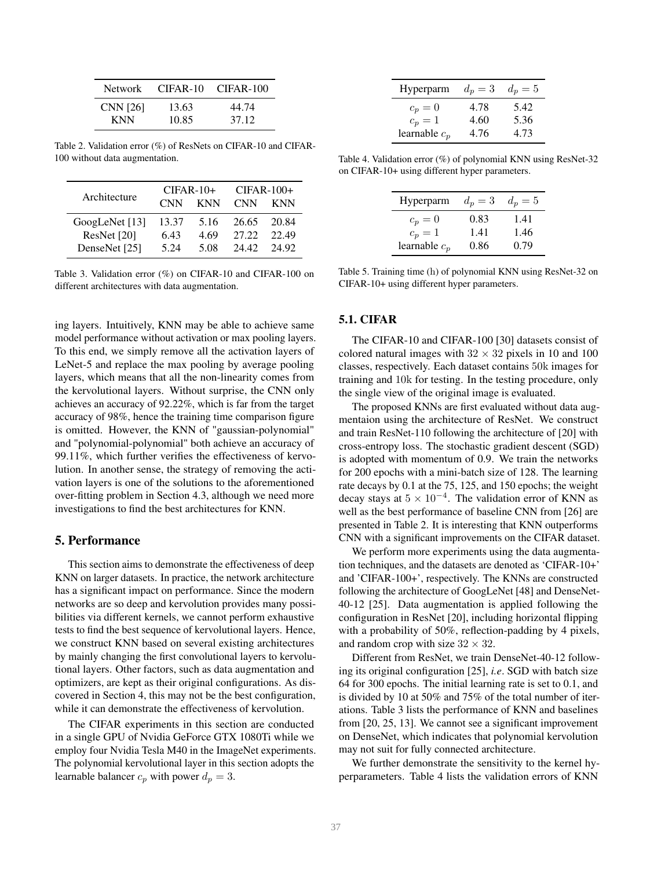| Network  | CIFAR-10 | CIFAR-100 |
|----------|----------|-----------|
| CNN [26] | 13.63    | 44.74     |
| KNN.     | 10.85    | 37.12     |

Table 2. Validation error (%) of ResNets on CIFAR-10 and CIFAR-100 without data augmentation.

| Architecture   | $CIFAR-10+$ |            | $CIFAR-100+$ |            |
|----------------|-------------|------------|--------------|------------|
|                | <b>CNN</b>  | <b>KNN</b> | <b>CNN</b>   | <b>KNN</b> |
| GoogLeNet [13] | 13.37       | 5.16       | 26.65        | 20.84      |
| ResNet [20]    | 6.43        | 4.69       | 27.22        | 22.49      |
| DenseNet [25]  | 5.24        | 5.08       | 24.42        | 24.92      |

Table 3. Validation error (%) on CIFAR-10 and CIFAR-100 on different architectures with data augmentation.

ing layers. Intuitively, KNN may be able to achieve same model performance without activation or max pooling layers. To this end, we simply remove all the activation layers of LeNet-5 and replace the max pooling by average pooling layers, which means that all the non-linearity comes from the kervolutional layers. Without surprise, the CNN only achieves an accuracy of 92.22%, which is far from the target accuracy of 98%, hence the training time comparison figure is omitted. However, the KNN of "gaussian-polynomial" and "polynomial-polynomial" both achieve an accuracy of 99.11%, which further verifies the effectiveness of kervolution. In another sense, the strategy of removing the activation layers is one of the solutions to the aforementioned over-fitting problem in Section 4.3, although we need more investigations to find the best architectures for KNN.

# 5. Performance

This section aims to demonstrate the effectiveness of deep KNN on larger datasets. In practice, the network architecture has a significant impact on performance. Since the modern networks are so deep and kervolution provides many possibilities via different kernels, we cannot perform exhaustive tests to find the best sequence of kervolutional layers. Hence, we construct KNN based on several existing architectures by mainly changing the first convolutional layers to kervolutional layers. Other factors, such as data augmentation and optimizers, are kept as their original configurations. As discovered in Section 4, this may not be the best configuration, while it can demonstrate the effectiveness of kervolution.

The CIFAR experiments in this section are conducted in a single GPU of Nvidia GeForce GTX 1080Ti while we employ four Nvidia Tesla M40 in the ImageNet experiments. The polynomial kervolutional layer in this section adopts the learnable balancer  $c_p$  with power  $d_p = 3$ .

| Hyperparm       | $d_p=3$ | $d_n=5$ |
|-----------------|---------|---------|
| $c_p=0$         | 4.78    | 5.42    |
| $c_p=1$         | 4.60    | 5.36    |
| learnable $c_p$ | 4.76    | 4.73    |

Table 4. Validation error (%) of polynomial KNN using ResNet-32 on CIFAR-10+ using different hyper parameters.

| Hyperparm       | $d_p=3$ | $d_n=5$ |
|-----------------|---------|---------|
| $c_p=0$         | 0.83    | 1.41    |
| $c_p=1$         | 1.41    | 1.46    |
| learnable $c_p$ | 0.86    | 0.79    |

Table 5. Training time (h) of polynomial KNN using ResNet-32 on CIFAR-10+ using different hyper parameters.

## 5.1. CIFAR

The CIFAR-10 and CIFAR-100 [30] datasets consist of colored natural images with  $32 \times 32$  pixels in 10 and 100 classes, respectively. Each dataset contains 50k images for training and 10k for testing. In the testing procedure, only the single view of the original image is evaluated.

The proposed KNNs are first evaluated without data augmentaion using the architecture of ResNet. We construct and train ResNet-110 following the architecture of [20] with cross-entropy loss. The stochastic gradient descent (SGD) is adopted with momentum of 0.9. We train the networks for 200 epochs with a mini-batch size of 128. The learning rate decays by 0.1 at the 75, 125, and 150 epochs; the weight decay stays at  $5 \times 10^{-4}$ . The validation error of KNN as well as the best performance of baseline CNN from [26] are presented in Table 2. It is interesting that KNN outperforms CNN with a significant improvements on the CIFAR dataset.

We perform more experiments using the data augmentation techniques, and the datasets are denoted as 'CIFAR-10+' and 'CIFAR-100+', respectively. The KNNs are constructed following the architecture of GoogLeNet [48] and DenseNet-40-12 [25]. Data augmentation is applied following the configuration in ResNet [20], including horizontal flipping with a probability of 50%, reflection-padding by 4 pixels, and random crop with size  $32 \times 32$ .

Different from ResNet, we train DenseNet-40-12 following its original configuration [25], *i.e*. SGD with batch size 64 for 300 epochs. The initial learning rate is set to 0.1, and is divided by 10 at 50% and 75% of the total number of iterations. Table 3 lists the performance of KNN and baselines from [20, 25, 13]. We cannot see a significant improvement on DenseNet, which indicates that polynomial kervolution may not suit for fully connected architecture.

We further demonstrate the sensitivity to the kernel hyperparameters. Table 4 lists the validation errors of KNN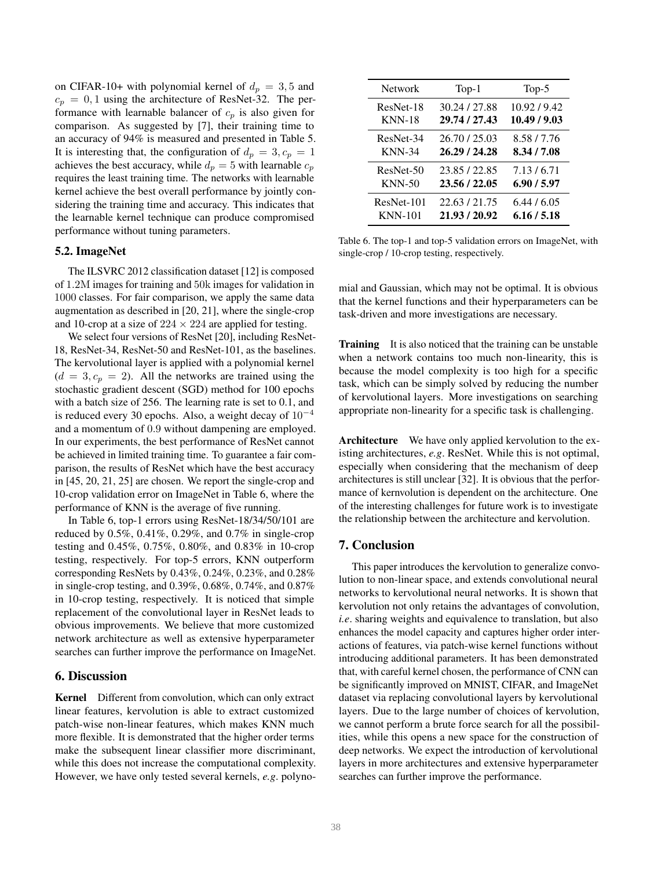on CIFAR-10+ with polynomial kernel of  $d_p = 3, 5$  and  $c_p = 0, 1$  using the architecture of ResNet-32. The performance with learnable balancer of  $c_p$  is also given for comparison. As suggested by [7], their training time to an accuracy of 94% is measured and presented in Table 5. It is interesting that, the configuration of  $d_p = 3, c_p = 1$ achieves the best accuracy, while  $d_p = 5$  with learnable  $c_p$ requires the least training time. The networks with learnable kernel achieve the best overall performance by jointly considering the training time and accuracy. This indicates that the learnable kernel technique can produce compromised performance without tuning parameters.

## 5.2. ImageNet

The ILSVRC 2012 classification dataset [12] is composed of 1.2M images for training and 50k images for validation in 1000 classes. For fair comparison, we apply the same data augmentation as described in [20, 21], where the single-crop and 10-crop at a size of  $224 \times 224$  are applied for testing.

We select four versions of ResNet [20], including ResNet-18, ResNet-34, ResNet-50 and ResNet-101, as the baselines. The kervolutional layer is applied with a polynomial kernel  $(d = 3, c_p = 2)$ . All the networks are trained using the stochastic gradient descent (SGD) method for 100 epochs with a batch size of 256. The learning rate is set to 0.1, and is reduced every 30 epochs. Also, a weight decay of  $10^{-4}$ and a momentum of 0.9 without dampening are employed. In our experiments, the best performance of ResNet cannot be achieved in limited training time. To guarantee a fair comparison, the results of ResNet which have the best accuracy in [45, 20, 21, 25] are chosen. We report the single-crop and 10-crop validation error on ImageNet in Table 6, where the performance of KNN is the average of five running.

In Table 6, top-1 errors using ResNet-18/34/50/101 are reduced by 0.5%, 0.41%, 0.29%, and 0.7% in single-crop testing and 0.45%, 0.75%, 0.80%, and 0.83% in 10-crop testing, respectively. For top-5 errors, KNN outperform corresponding ResNets by 0.43%, 0.24%, 0.23%, and 0.28% in single-crop testing, and 0.39%, 0.68%, 0.74%, and 0.87% in 10-crop testing, respectively. It is noticed that simple replacement of the convolutional layer in ResNet leads to obvious improvements. We believe that more customized network architecture as well as extensive hyperparameter searches can further improve the performance on ImageNet.

# 6. Discussion

Kernel Different from convolution, which can only extract linear features, kervolution is able to extract customized patch-wise non-linear features, which makes KNN much more flexible. It is demonstrated that the higher order terms make the subsequent linear classifier more discriminant, while this does not increase the computational complexity. However, we have only tested several kernels, *e.g*. polyno-

| <b>Network</b> | $Top-1$       | $Top-5$      |
|----------------|---------------|--------------|
| ResNet-18      | 30.24 / 27.88 | 10.92/9.42   |
| <b>KNN-18</b>  | 29.74 / 27.43 | 10.49 / 9.03 |
| ResNet-34      | 26.70 / 25.03 | 8.58/7.76    |
| <b>KNN-34</b>  | 26.29 / 24.28 | 8.34/7.08    |
| ResNet-50      | 23.85/22.85   | 7.13/6.71    |
| $KNN-50$       | 23.56 / 22.05 | 6.90 / 5.97  |
| ResNet-101     | 22.63/21.75   | 6.44/6.05    |
| <b>KNN-101</b> | 21.93 / 20.92 | 6.16 / 5.18  |

Table 6. The top-1 and top-5 validation errors on ImageNet, with single-crop / 10-crop testing, respectively.

mial and Gaussian, which may not be optimal. It is obvious that the kernel functions and their hyperparameters can be task-driven and more investigations are necessary.

Training It is also noticed that the training can be unstable when a network contains too much non-linearity, this is because the model complexity is too high for a specific task, which can be simply solved by reducing the number of kervolutional layers. More investigations on searching appropriate non-linearity for a specific task is challenging.

Architecture We have only applied kervolution to the existing architectures, *e.g*. ResNet. While this is not optimal, especially when considering that the mechanism of deep architectures is still unclear [32]. It is obvious that the performance of kernvolution is dependent on the architecture. One of the interesting challenges for future work is to investigate the relationship between the architecture and kervolution.

## 7. Conclusion

This paper introduces the kervolution to generalize convolution to non-linear space, and extends convolutional neural networks to kervolutional neural networks. It is shown that kervolution not only retains the advantages of convolution, *i.e*. sharing weights and equivalence to translation, but also enhances the model capacity and captures higher order interactions of features, via patch-wise kernel functions without introducing additional parameters. It has been demonstrated that, with careful kernel chosen, the performance of CNN can be significantly improved on MNIST, CIFAR, and ImageNet dataset via replacing convolutional layers by kervolutional layers. Due to the large number of choices of kervolution, we cannot perform a brute force search for all the possibilities, while this opens a new space for the construction of deep networks. We expect the introduction of kervolutional layers in more architectures and extensive hyperparameter searches can further improve the performance.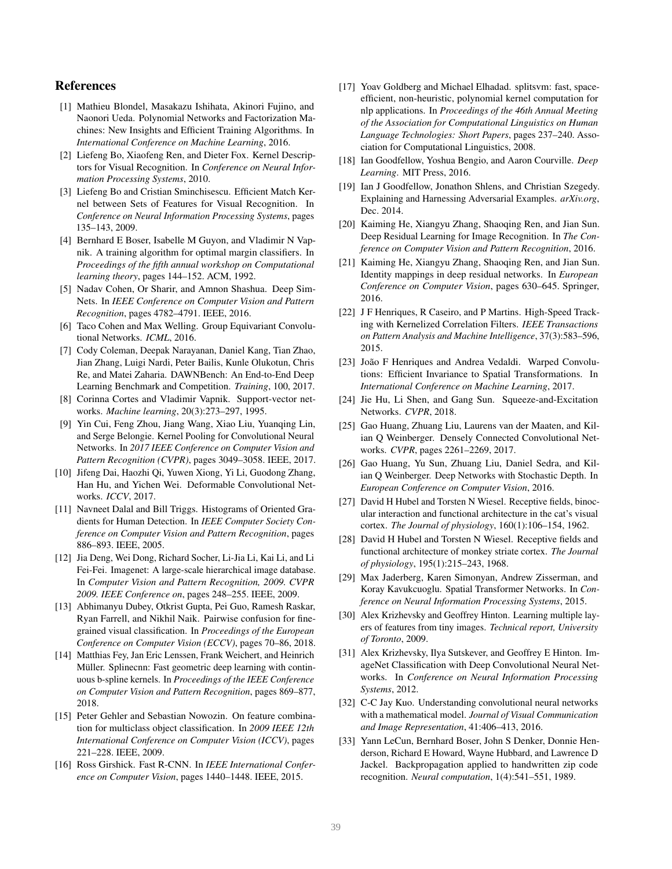# References

- [1] Mathieu Blondel, Masakazu Ishihata, Akinori Fujino, and Naonori Ueda. Polynomial Networks and Factorization Machines: New Insights and Efficient Training Algorithms. In *International Conference on Machine Learning*, 2016.
- [2] Liefeng Bo, Xiaofeng Ren, and Dieter Fox. Kernel Descriptors for Visual Recognition. In *Conference on Neural Information Processing Systems*, 2010.
- [3] Liefeng Bo and Cristian Sminchisescu. Efficient Match Kernel between Sets of Features for Visual Recognition. In *Conference on Neural Information Processing Systems*, pages 135–143, 2009.
- [4] Bernhard E Boser, Isabelle M Guyon, and Vladimir N Vapnik. A training algorithm for optimal margin classifiers. In *Proceedings of the fifth annual workshop on Computational learning theory*, pages 144–152. ACM, 1992.
- [5] Nadav Cohen, Or Sharir, and Amnon Shashua. Deep Sim-Nets. In *IEEE Conference on Computer Vision and Pattern Recognition*, pages 4782–4791. IEEE, 2016.
- [6] Taco Cohen and Max Welling. Group Equivariant Convolutional Networks. *ICML*, 2016.
- [7] Cody Coleman, Deepak Narayanan, Daniel Kang, Tian Zhao, Jian Zhang, Luigi Nardi, Peter Bailis, Kunle Olukotun, Chris Re, and Matei Zaharia. DAWNBench: An End-to-End Deep Learning Benchmark and Competition. *Training*, 100, 2017.
- [8] Corinna Cortes and Vladimir Vapnik. Support-vector networks. *Machine learning*, 20(3):273–297, 1995.
- [9] Yin Cui, Feng Zhou, Jiang Wang, Xiao Liu, Yuanqing Lin, and Serge Belongie. Kernel Pooling for Convolutional Neural Networks. In *2017 IEEE Conference on Computer Vision and Pattern Recognition (CVPR)*, pages 3049–3058. IEEE, 2017.
- [10] Jifeng Dai, Haozhi Qi, Yuwen Xiong, Yi Li, Guodong Zhang, Han Hu, and Yichen Wei. Deformable Convolutional Networks. *ICCV*, 2017.
- [11] Navneet Dalal and Bill Triggs. Histograms of Oriented Gradients for Human Detection. In *IEEE Computer Society Conference on Computer Vision and Pattern Recognition*, pages 886–893. IEEE, 2005.
- [12] Jia Deng, Wei Dong, Richard Socher, Li-Jia Li, Kai Li, and Li Fei-Fei. Imagenet: A large-scale hierarchical image database. In *Computer Vision and Pattern Recognition, 2009. CVPR 2009. IEEE Conference on*, pages 248–255. IEEE, 2009.
- [13] Abhimanyu Dubey, Otkrist Gupta, Pei Guo, Ramesh Raskar, Ryan Farrell, and Nikhil Naik. Pairwise confusion for finegrained visual classification. In *Proceedings of the European Conference on Computer Vision (ECCV)*, pages 70–86, 2018.
- [14] Matthias Fey, Jan Eric Lenssen, Frank Weichert, and Heinrich Müller. Splinecnn: Fast geometric deep learning with continuous b-spline kernels. In *Proceedings of the IEEE Conference on Computer Vision and Pattern Recognition*, pages 869–877, 2018.
- [15] Peter Gehler and Sebastian Nowozin. On feature combination for multiclass object classification. In *2009 IEEE 12th International Conference on Computer Vision (ICCV)*, pages 221–228. IEEE, 2009.
- [16] Ross Girshick. Fast R-CNN. In *IEEE International Conference on Computer Vision*, pages 1440–1448. IEEE, 2015.
- [17] Yoav Goldberg and Michael Elhadad. splitsvm: fast, spaceefficient, non-heuristic, polynomial kernel computation for nlp applications. In *Proceedings of the 46th Annual Meeting of the Association for Computational Linguistics on Human Language Technologies: Short Papers*, pages 237–240. Association for Computational Linguistics, 2008.
- [18] Ian Goodfellow, Yoshua Bengio, and Aaron Courville. *Deep Learning*. MIT Press, 2016.
- [19] Ian J Goodfellow, Jonathon Shlens, and Christian Szegedy. Explaining and Harnessing Adversarial Examples. *arXiv.org*, Dec. 2014.
- [20] Kaiming He, Xiangyu Zhang, Shaoqing Ren, and Jian Sun. Deep Residual Learning for Image Recognition. In *The Conference on Computer Vision and Pattern Recognition*, 2016.
- [21] Kaiming He, Xiangyu Zhang, Shaoqing Ren, and Jian Sun. Identity mappings in deep residual networks. In *European Conference on Computer Vision*, pages 630–645. Springer, 2016.
- [22] J F Henriques, R Caseiro, and P Martins. High-Speed Tracking with Kernelized Correlation Filters. *IEEE Transactions on Pattern Analysis and Machine Intelligence*, 37(3):583–596, 2015.
- [23] João F Henriques and Andrea Vedaldi. Warped Convolutions: Efficient Invariance to Spatial Transformations. In *International Conference on Machine Learning*, 2017.
- [24] Jie Hu, Li Shen, and Gang Sun. Squeeze-and-Excitation Networks. *CVPR*, 2018.
- [25] Gao Huang, Zhuang Liu, Laurens van der Maaten, and Kilian Q Weinberger. Densely Connected Convolutional Networks. *CVPR*, pages 2261–2269, 2017.
- [26] Gao Huang, Yu Sun, Zhuang Liu, Daniel Sedra, and Kilian Q Weinberger. Deep Networks with Stochastic Depth. In *European Conference on Computer Vision*, 2016.
- [27] David H Hubel and Torsten N Wiesel. Receptive fields, binocular interaction and functional architecture in the cat's visual cortex. *The Journal of physiology*, 160(1):106–154, 1962.
- [28] David H Hubel and Torsten N Wiesel. Receptive fields and functional architecture of monkey striate cortex. *The Journal of physiology*, 195(1):215–243, 1968.
- [29] Max Jaderberg, Karen Simonyan, Andrew Zisserman, and Koray Kavukcuoglu. Spatial Transformer Networks. In *Conference on Neural Information Processing Systems*, 2015.
- [30] Alex Krizhevsky and Geoffrey Hinton. Learning multiple layers of features from tiny images. *Technical report, University of Toronto*, 2009.
- [31] Alex Krizhevsky, Ilya Sutskever, and Geoffrey E Hinton. ImageNet Classification with Deep Convolutional Neural Networks. In *Conference on Neural Information Processing Systems*, 2012.
- [32] C-C Jay Kuo. Understanding convolutional neural networks with a mathematical model. *Journal of Visual Communication and Image Representation*, 41:406–413, 2016.
- [33] Yann LeCun, Bernhard Boser, John S Denker, Donnie Henderson, Richard E Howard, Wayne Hubbard, and Lawrence D Jackel. Backpropagation applied to handwritten zip code recognition. *Neural computation*, 1(4):541–551, 1989.